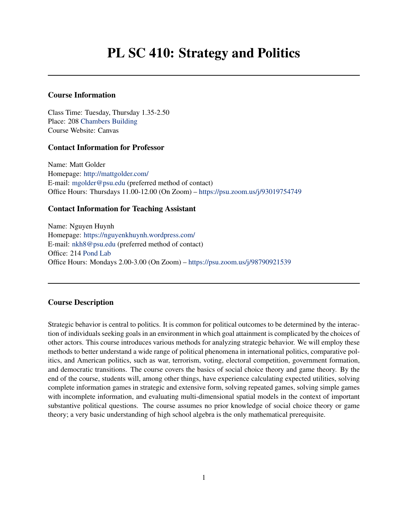# Course Information

Class Time: Tuesday, Thursday 1.35-2.50 Place: 208 [Chambers Building](https://map.psu.edu/?id=1134#!m/266976) Course Website: Canvas

# Contact Information for Professor

Name: Matt Golder Homepage: <http://mattgolder.com/> E-mail: [mgolder@psu.edu](mailto:mgolder@psu.edu) (preferred method of contact) Office Hours: Thursdays 11.00-12.00 (On Zoom) – [https://psu.zoom.us/j/93019754749]( https://psu.zoom.us/j/93019754749)

# Contact Information for Teaching Assistant

Name: Nguyen Huynh Homepage: <https://nguyenkhuynh.wordpress.com/> E-mail: [nkh8@psu.edu](mailto:nkh8@psu.edu) (preferred method of contact) Office: 214 [Pond Lab](https://map.psu.edu/?id=1134#!m/274775?ce/0,27258,29794?s/Pond20Lab?ct/33177,26611,25403,0,27255,26750,26749,26748) Office Hours: Mondays 2.00-3.00 (On Zoom) – [https://psu.zoom.us/j/98790921539]( https://psu.zoom.us/j/98790921539)

# Course Description

Strategic behavior is central to politics. It is common for political outcomes to be determined by the interaction of individuals seeking goals in an environment in which goal attainment is complicated by the choices of other actors. This course introduces various methods for analyzing strategic behavior. We will employ these methods to better understand a wide range of political phenomena in international politics, comparative politics, and American politics, such as war, terrorism, voting, electoral competition, government formation, and democratic transitions. The course covers the basics of social choice theory and game theory. By the end of the course, students will, among other things, have experience calculating expected utilities, solving complete information games in strategic and extensive form, solving repeated games, solving simple games with incomplete information, and evaluating multi-dimensional spatial models in the context of important substantive political questions. The course assumes no prior knowledge of social choice theory or game theory; a very basic understanding of high school algebra is the only mathematical prerequisite.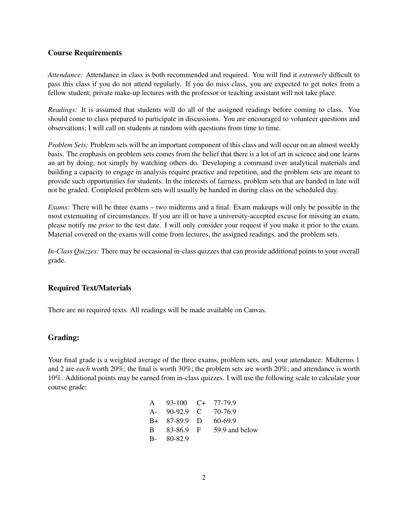#### Course Requirements

*Attendance:* Attendance in class is both recommended and required. You will find it *extremely* difficult to pass this class if you do not attend regularly. If you do miss class, you are expected to get notes from a fellow student; private make-up lectures with the professor or teaching assistant will not take place.

*Readings:* It is assumed that students will do all of the assigned readings before coming to class. You should come to class prepared to participate in discussions. You are encouraged to volunteer questions and observations; I will call on students at random with questions from time to time.

*Problem Sets:* Problem sets will be an important component of this class and will occur on an almost weekly basis. The emphasis on problem sets comes from the belief that there is a lot of art in science and one learns an art by doing, not simply by watching others do. Developing a command over analytical materials and building a capacity to engage in analysis require practice and repetition, and the problem sets are meant to provide such opportunities for students. In the interests of fairness, problem sets that are handed in late will not be graded. Completed problem sets will usually be handed in during class on the scheduled day.

*Exams:* There will be three exams – two midterms and a final. Exam makeups will only be possible in the most extenuating of circumstances. If you are ill or have a university-accepted excuse for missing an exam, please notify me *prior* to the test date. I will only consider your request if you make it prior to the exam. Material covered on the exams will come from lectures, the assigned readings, and the problem sets.

*In-Class Quizzes:* There may be occasional in-class quizzes that can provide additional points to your overall grade.

# Required Text/Materials

There are no required texts. All readings will be made available on Canvas.

#### Grading:

Your final grade is a weighted average of the three exams, problem sets, and your attendance: Midterms 1 and 2 are *each* worth 20%; the final is worth 30%; the problem sets are worth 20%; and attendance is worth 10%. Additional points may be earned from in-class quizzes. I will use the following scale to calculate your course grade:

| A 93-100 C+ 77-79.9  |                |
|----------------------|----------------|
| A- 90-92.9 C 70-76.9 |                |
| $B+ 87-89.9$ D       | 60-69.9        |
| B 83-86.9 F          | 59.9 and below |
| $B - 80 - 82.9$      |                |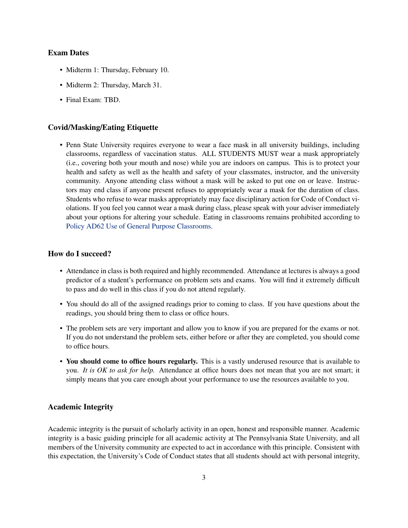#### Exam Dates

- Midterm 1: Thursday, February 10.
- Midterm 2: Thursday, March 31.
- Final Exam: TBD.

#### Covid/Masking/Eating Etiquette

• Penn State University requires everyone to wear a face mask in all university buildings, including classrooms, regardless of vaccination status. ALL STUDENTS MUST wear a mask appropriately (i.e., covering both your mouth and nose) while you are indoors on campus. This is to protect your health and safety as well as the health and safety of your classmates, instructor, and the university community. Anyone attending class without a mask will be asked to put one on or leave. Instructors may end class if anyone present refuses to appropriately wear a mask for the duration of class. Students who refuse to wear masks appropriately may face disciplinary action for Code of Conduct violations. If you feel you cannot wear a mask during class, please speak with your adviser immediately about your options for altering your schedule. Eating in classrooms remains prohibited according to [Policy AD62 Use of General Purpose Classrooms.](https://policy.psu.edu/policies/ad62)

#### How do I succeed?

- Attendance in class is both required and highly recommended. Attendance at lectures is always a good predictor of a student's performance on problem sets and exams. You will find it extremely difficult to pass and do well in this class if you do not attend regularly.
- You should do all of the assigned readings prior to coming to class. If you have questions about the readings, you should bring them to class or office hours.
- The problem sets are very important and allow you to know if you are prepared for the exams or not. If you do not understand the problem sets, either before or after they are completed, you should come to office hours.
- You should come to office hours regularly. This is a vastly underused resource that is available to you. *It is OK to ask for help.* Attendance at office hours does not mean that you are not smart; it simply means that you care enough about your performance to use the resources available to you.

## Academic Integrity

Academic integrity is the pursuit of scholarly activity in an open, honest and responsible manner. Academic integrity is a basic guiding principle for all academic activity at The Pennsylvania State University, and all members of the University community are expected to act in accordance with this principle. Consistent with this expectation, the University's Code of Conduct states that all students should act with personal integrity,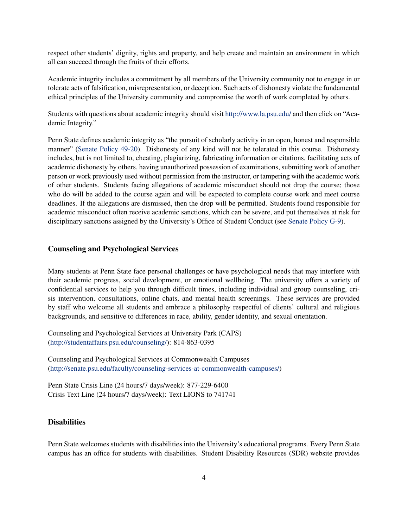respect other students' dignity, rights and property, and help create and maintain an environment in which all can succeed through the fruits of their efforts.

Academic integrity includes a commitment by all members of the University community not to engage in or tolerate acts of falsification, misrepresentation, or deception. Such acts of dishonesty violate the fundamental ethical principles of the University community and compromise the worth of work completed by others.

Students with questions about academic integrity should visit <http://www.la.psu.edu/> and then click on "Academic Integrity."

Penn State defines academic integrity as "the pursuit of scholarly activity in an open, honest and responsible manner" [\(Senate Policy 49-20\)](https://senate.psu.edu/policies-and-rules-for-undergraduate-students/47-00-48-00-and-49-00-grades/#49-20). Dishonesty of any kind will not be tolerated in this course. Dishonesty includes, but is not limited to, cheating, plagiarizing, fabricating information or citations, facilitating acts of academic dishonesty by others, having unauthorized possession of examinations, submitting work of another person or work previously used without permission from the instructor, or tampering with the academic work of other students. Students facing allegations of academic misconduct should not drop the course; those who do will be added to the course again and will be expected to complete course work and meet course deadlines. If the allegations are dismissed, then the drop will be permitted. Students found responsible for academic misconduct often receive academic sanctions, which can be severe, and put themselves at risk for disciplinary sanctions assigned by the University's Office of Student Conduct (see [Senate Policy G-9\)](https://undergrad.psu.edu/aappm/G-9-academic-integrity.html).

## Counseling and Psychological Services

Many students at Penn State face personal challenges or have psychological needs that may interfere with their academic progress, social development, or emotional wellbeing. The university offers a variety of confidential services to help you through difficult times, including individual and group counseling, crisis intervention, consultations, online chats, and mental health screenings. These services are provided by staff who welcome all students and embrace a philosophy respectful of clients' cultural and religious backgrounds, and sensitive to differences in race, ability, gender identity, and sexual orientation.

Counseling and Psychological Services at University Park (CAPS) [\(http://studentaffairs.psu.edu/counseling/\)](https://studentaffairs.psu.edu/counseling): 814-863-0395

Counseling and Psychological Services at Commonwealth Campuses [\(http://senate.psu.edu/faculty/counseling-services-at-commonwealth-campuses/\)](http://senate.psu.edu/faculty/counseling-services-at-commonwealth-campuses/)

Penn State Crisis Line (24 hours/7 days/week): 877-229-6400 Crisis Text Line (24 hours/7 days/week): Text LIONS to 741741

# **Disabilities**

Penn State welcomes students with disabilities into the University's educational programs. Every Penn State campus has an office for students with disabilities. Student Disability Resources (SDR) website provides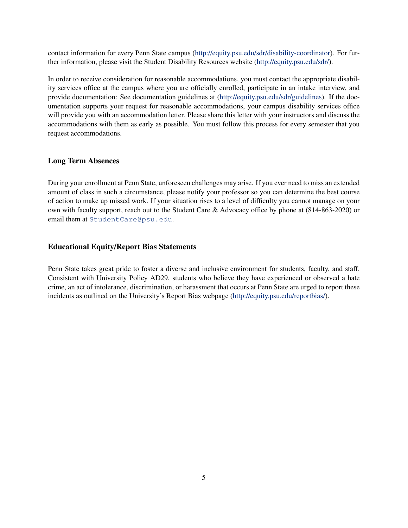contact information for every Penn State campus [\(http://equity.psu.edu/sdr/disability-coordinator\)](http://equity.psu.edu/student-disability-resources/campus-disability-coordinators). For further information, please visit the Student Disability Resources website [\(http://equity.psu.edu/sdr/\)](http://equity.psu.edu/student-disability-resources/).

In order to receive consideration for reasonable accommodations, you must contact the appropriate disability services office at the campus where you are officially enrolled, participate in an intake interview, and provide documentation: See documentation guidelines at [\(http://equity.psu.edu/sdr/guidelines\)](http://equity.psu.edu/student-disability-resources/applying-for-services/documentation-guidelines). If the documentation supports your request for reasonable accommodations, your campus disability services office will provide you with an accommodation letter. Please share this letter with your instructors and discuss the accommodations with them as early as possible. You must follow this process for every semester that you request accommodations.

# Long Term Absences

During your enrollment at Penn State, unforeseen challenges may arise. If you ever need to miss an extended amount of class in such a circumstance, please notify your professor so you can determine the best course of action to make up missed work. If your situation rises to a level of difficulty you cannot manage on your own with faculty support, reach out to the Student Care & Advocacy office by phone at (814-863-2020) or email them at [StudentCare@psu.edu](mailto:StudentCare@psu.edu).

### Educational Equity/Report Bias Statements

Penn State takes great pride to foster a diverse and inclusive environment for students, faculty, and staff. Consistent with University Policy AD29, students who believe they have experienced or observed a hate crime, an act of intolerance, discrimination, or harassment that occurs at Penn State are urged to report these incidents as outlined on the University's Report Bias webpage [\(http://equity.psu.edu/reportbias/\)](http://equity.psu.edu/reportbias/).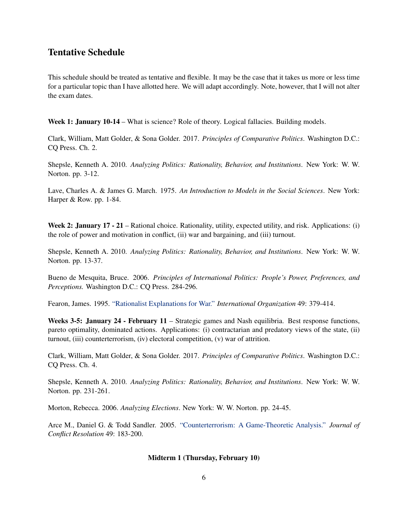# Tentative Schedule

This schedule should be treated as tentative and flexible. It may be the case that it takes us more or less time for a particular topic than I have allotted here. We will adapt accordingly. Note, however, that I will not alter the exam dates.

Week 1: January 10-14 – What is science? Role of theory. Logical fallacies. Building models.

Clark, William, Matt Golder, & Sona Golder. 2017. *Principles of Comparative Politics*. Washington D.C.: CQ Press. Ch. 2.

Shepsle, Kenneth A. 2010. *Analyzing Politics: Rationality, Behavior, and Institutions*. New York: W. W. Norton. pp. 3-12.

Lave, Charles A. & James G. March. 1975. *An Introduction to Models in the Social Sciences*. New York: Harper & Row. pp. 1-84.

Week 2: January 17 - 21 – Rational choice. Rationality, utility, expected utility, and risk. Applications: (i) the role of power and motivation in conflict, (ii) war and bargaining, and (iii) turnout.

Shepsle, Kenneth A. 2010. *Analyzing Politics: Rationality, Behavior, and Institutions*. New York: W. W. Norton. pp. 13-37.

Bueno de Mesquita, Bruce. 2006. *Principles of International Politics: People's Power, Preferences, and Perceptions.* Washington D.C.: CQ Press. 284-296.

Fearon, James. 1995. ["Rationalist Explanations for War."](http://www.jstor.org/stable/pdfplus/2706903.pdf) *International Organization* 49: 379-414.

Weeks 3-5: January 24 - February 11 – Strategic games and Nash equilibria. Best response functions, pareto optimality, dominated actions. Applications: (i) contractarian and predatory views of the state, (ii) turnout, (iii) counterterrorism, (iv) electoral competition, (v) war of attrition.

Clark, William, Matt Golder, & Sona Golder. 2017. *Principles of Comparative Politics*. Washington D.C.: CQ Press. Ch. 4.

Shepsle, Kenneth A. 2010. *Analyzing Politics: Rationality, Behavior, and Institutions*. New York: W. W. Norton. pp. 231-261.

Morton, Rebecca. 2006. *Analyzing Elections*. New York: W. W. Norton. pp. 24-45.

Arce M., Daniel G. & Todd Sandler. 2005. ["Counterterrorism: A Game-Theoretic Analysis."](http://jcr.sagepub.com/content/49/2/183.full.pdf+html) *Journal of Conflict Resolution* 49: 183-200.

#### Midterm 1 (Thursday, February 10)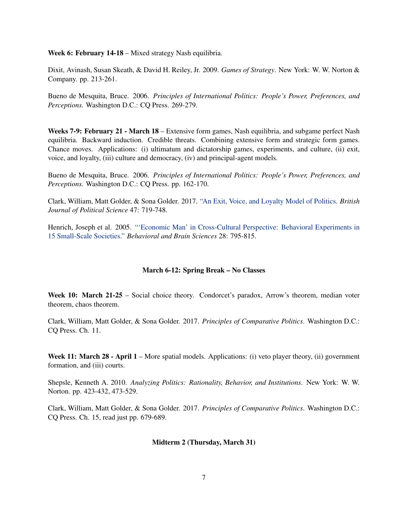Week 6: February 14-18 – Mixed strategy Nash equilibria.

Dixit, Avinash, Susan Skeath, & David H. Reiley, Jr. 2009. *Games of Strategy*. New York: W. W. Norton & Company. pp. 213-261.

Bueno de Mesquita, Bruce. 2006. *Principles of International Politics: People's Power, Preferences, and Perceptions.* Washington D.C.: CQ Press. 269-279.

Weeks 7-9: February 21 - March 18 – Extensive form games, Nash equilibria, and subgame perfect Nash equilibria. Backward induction. Credible threats. Combining extensive form and strategic form games. Chance moves. Applications: (i) ultimatum and dictatorship games, experiments, and culture, (ii) exit, voice, and loyalty, (iii) culture and democracy, (iv) and principal-agent models.

Bueno de Mesquita, Bruce. 2006. *Principles of International Politics: People's Power, Preferences, and Perceptions.* Washington D.C.: CQ Press. pp. 162-170.

Clark, William, Matt Golder, & Sona Golder. 2017. ["An Exit, Voice, and Loyalty Model of Politics.](http://mattgolder.com/files/research/bjps3.pdf) *British Journal of Political Science* 47: 719-748.

Henrich, Joseph et al. 2005. ["'Economic Man' in Cross-Cultural Perspective: Behavioral Experiments in](http://journals.cambridge.org/action/displayAbstract?fromPage=online&aid=362321) [15 Small-Scale Societies."](http://journals.cambridge.org/action/displayAbstract?fromPage=online&aid=362321) *Behavioral and Brain Sciences* 28: 795-815.

#### March 6-12: Spring Break – No Classes

Week 10: March 21-25 – Social choice theory. Condorcet's paradox, Arrow's theorem, median voter theorem, chaos theorem.

Clark, William, Matt Golder, & Sona Golder. 2017. *Principles of Comparative Politics*. Washington D.C.: CQ Press. Ch. 11.

Week 11: March 28 - April 1 – More spatial models. Applications: (i) veto player theory, (ii) government formation, and (iii) courts.

Shepsle, Kenneth A. 2010. *Analyzing Politics: Rationality, Behavior, and Institutions*. New York: W. W. Norton. pp. 423-432, 473-529.

Clark, William, Matt Golder, & Sona Golder. 2017. *Principles of Comparative Politics*. Washington D.C.: CQ Press. Ch. 15, read just pp. 679-689.

#### Midterm 2 (Thursday, March 31)